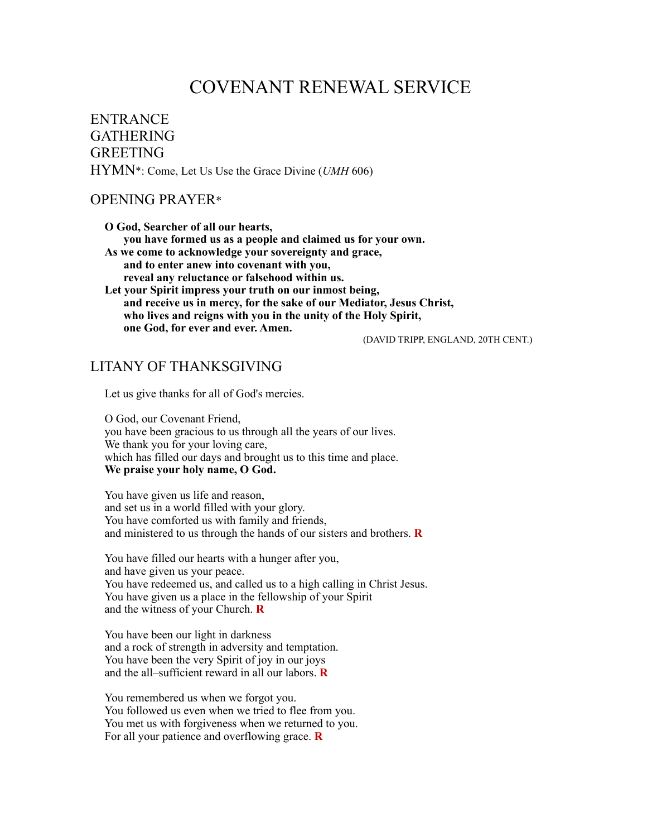# COVENANT RENEWAL SERVICE

ENTRANCE GATHERING **GREETING** HYMN\*: Come, Let Us Use the Grace Divine (*UMH* 606)

#### OPENING PRAYER\*

 **O God, Searcher of all our hearts, you have formed us as a people and claimed us for your own. As we come to acknowledge your sovereignty and grace, and to enter anew into covenant with you, reveal any reluctance or falsehood within us. Let your Spirit impress your truth on our inmost being, and receive us in mercy, for the sake of our Mediator, Jesus Christ, who lives and reigns with you in the unity of the Holy Spirit, one God, for ever and ever. Amen.** 

(DAVID TRIPP, ENGLAND, 20TH CENT.)

#### LITANY OF THANKSGIVING

Let us give thanks for all of God's mercies.

O God, our Covenant Friend, you have been gracious to us through all the years of our lives. We thank you for your loving care, which has filled our days and brought us to this time and place. **We praise your holy name, O God.** 

You have given us life and reason, and set us in a world filled with your glory. You have comforted us with family and friends, and ministered to us through the hands of our sisters and brothers. **R**

You have filled our hearts with a hunger after you, and have given us your peace. You have redeemed us, and called us to a high calling in Christ Jesus. You have given us a place in the fellowship of your Spirit and the witness of your Church. **R**

You have been our light in darkness and a rock of strength in adversity and temptation. You have been the very Spirit of joy in our joys and the all–sufficient reward in all our labors. **R**

You remembered us when we forgot you. You followed us even when we tried to flee from you. You met us with forgiveness when we returned to you. For all your patience and overflowing grace. **R**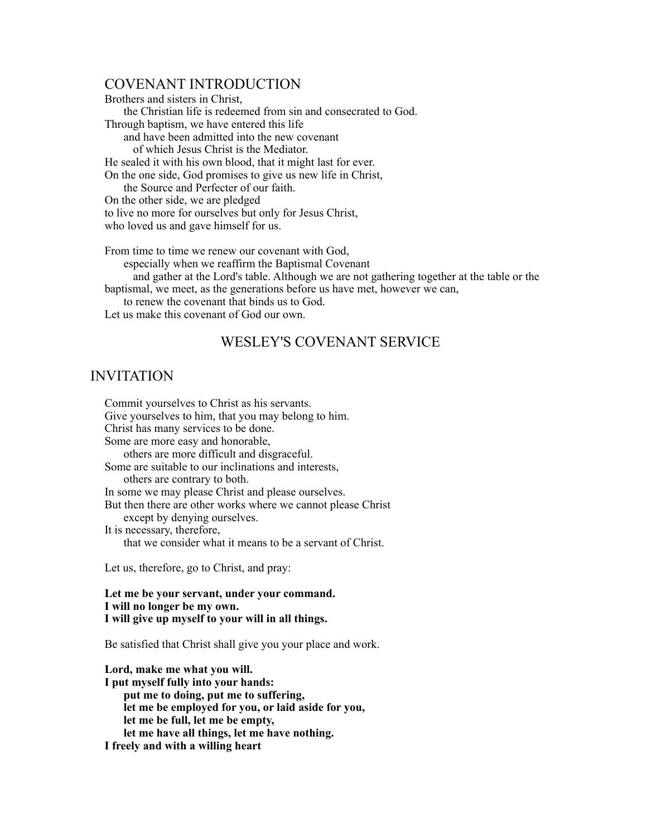#### COVENANT INTRODUCTION

Brothers and sisters in Christ, the Christian life is redeemed from sin and consecrated to God. Through baptism, we have entered this life and have been admitted into the new covenant of which Jesus Christ is the Mediator. He sealed it with his own blood, that it might last for ever. On the one side, God promises to give us new life in Christ, the Source and Perfecter of our faith. On the other side, we are pledged to live no more for ourselves but only for Jesus Christ, who loved us and gave himself for us.

From time to time we renew our covenant with God, especially when we reaffirm the Baptismal Covenant and gather at the Lord's table. Although we are not gathering together at the table or the baptismal, we meet, as the generations before us have met, however we can, to renew the covenant that binds us to God. Let us make this covenant of God our own.

### WESLEY'S COVENANT SERVICE

#### INVITATION

Commit yourselves to Christ as his servants. Give yourselves to him, that you may belong to him. Christ has many services to be done. Some are more easy and honorable, others are more difficult and disgraceful. Some are suitable to our inclinations and interests, others are contrary to both. In some we may please Christ and please ourselves. But then there are other works where we cannot please Christ except by denying ourselves. It is necessary, therefore, that we consider what it means to be a servant of Christ.

Let us, therefore, go to Christ, and pray:

**Let me be your servant, under your command. I will no longer be my own. I will give up myself to your will in all things.** 

Be satisfied that Christ shall give you your place and work.

**Lord, make me what you will. I put myself fully into your hands: put me to doing, put me to suffering, let me be employed for you, or laid aside for you, let me be full, let me be empty, let me have all things, let me have nothing. I freely and with a willing heart**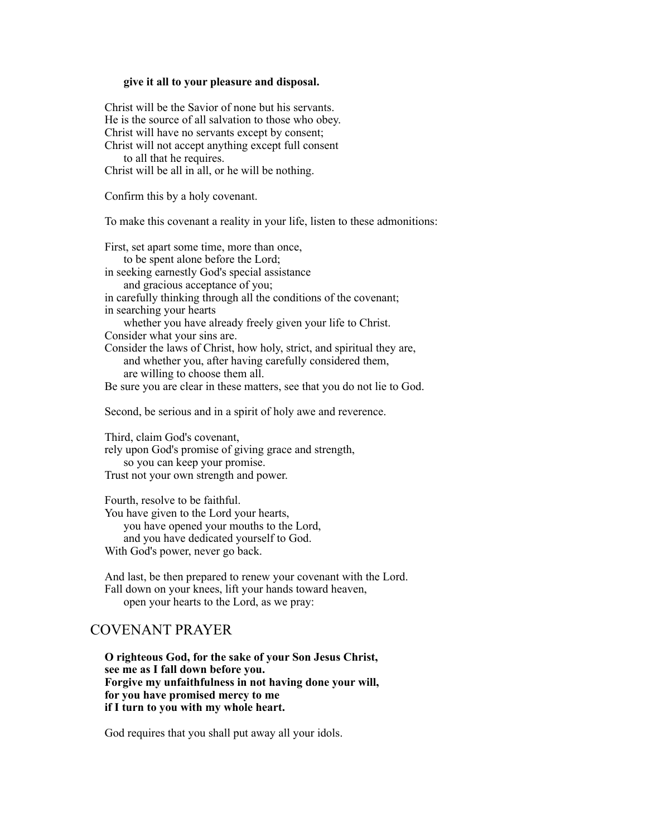#### **give it all to your pleasure and disposal.**

Christ will be the Savior of none but his servants. He is the source of all salvation to those who obey. Christ will have no servants except by consent; Christ will not accept anything except full consent

to all that he requires.

Christ will be all in all, or he will be nothing.

Confirm this by a holy covenant.

To make this covenant a reality in your life, listen to these admonitions:

First, set apart some time, more than once, to be spent alone before the Lord; in seeking earnestly God's special assistance and gracious acceptance of you; in carefully thinking through all the conditions of the covenant; in searching your hearts whether you have already freely given your life to Christ. Consider what your sins are. Consider the laws of Christ, how holy, strict, and spiritual they are, and whether you, after having carefully considered them, are willing to choose them all.

Be sure you are clear in these matters, see that you do not lie to God.

Second, be serious and in a spirit of holy awe and reverence.

Third, claim God's covenant, rely upon God's promise of giving grace and strength, so you can keep your promise. Trust not your own strength and power.

Fourth, resolve to be faithful. You have given to the Lord your hearts, you have opened your mouths to the Lord, and you have dedicated yourself to God. With God's power, never go back.

And last, be then prepared to renew your covenant with the Lord. Fall down on your knees, lift your hands toward heaven, open your hearts to the Lord, as we pray:

## COVENANT PRAYER

**O righteous God, for the sake of your Son Jesus Christ, see me as I fall down before you. Forgive my unfaithfulness in not having done your will, for you have promised mercy to me if I turn to you with my whole heart.**

God requires that you shall put away all your idols.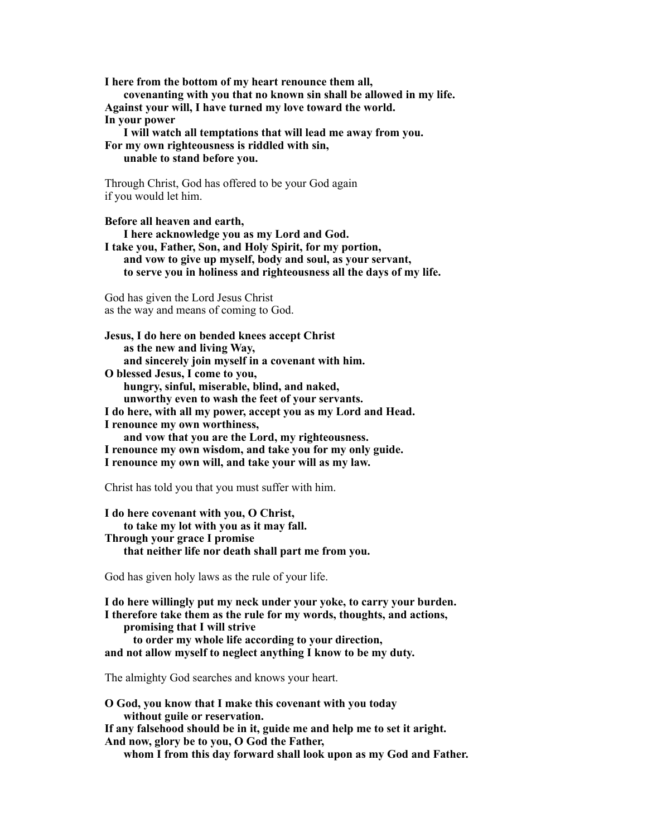**I here from the bottom of my heart renounce them all, covenanting with you that no known sin shall be allowed in my life. Against your will, I have turned my love toward the world. In your power I will watch all temptations that will lead me away from you.** 

**For my own righteousness is riddled with sin, unable to stand before you.** 

Through Christ, God has offered to be your God again if you would let him.

**Before all heaven and earth, I here acknowledge you as my Lord and God. I take you, Father, Son, and Holy Spirit, for my portion, and vow to give up myself, body and soul, as your servant, to serve you in holiness and righteousness all the days of my life.**

God has given the Lord Jesus Christ as the way and means of coming to God.

**Jesus, I do here on bended knees accept Christ as the new and living Way, and sincerely join myself in a covenant with him. O blessed Jesus, I come to you, hungry, sinful, miserable, blind, and naked, unworthy even to wash the feet of your servants. I do here, with all my power, accept you as my Lord and Head. I renounce my own worthiness, and vow that you are the Lord, my righteousness. I renounce my own wisdom, and take you for my only guide. I renounce my own will, and take your will as my law.** 

Christ has told you that you must suffer with him.

**I do here covenant with you, O Christ, to take my lot with you as it may fall. Through your grace I promise that neither life nor death shall part me from you.**

God has given holy laws as the rule of your life.

**I do here willingly put my neck under your yoke, to carry your burden. I therefore take them as the rule for my words, thoughts, and actions, promising that I will strive to order my whole life according to your direction, and not allow myself to neglect anything I know to be my duty.**

The almighty God searches and knows your heart.

**O God, you know that I make this covenant with you today without guile or reservation. If any falsehood should be in it, guide me and help me to set it aright. And now, glory be to you, O God the Father,** 

 **whom I from this day forward shall look upon as my God and Father.**